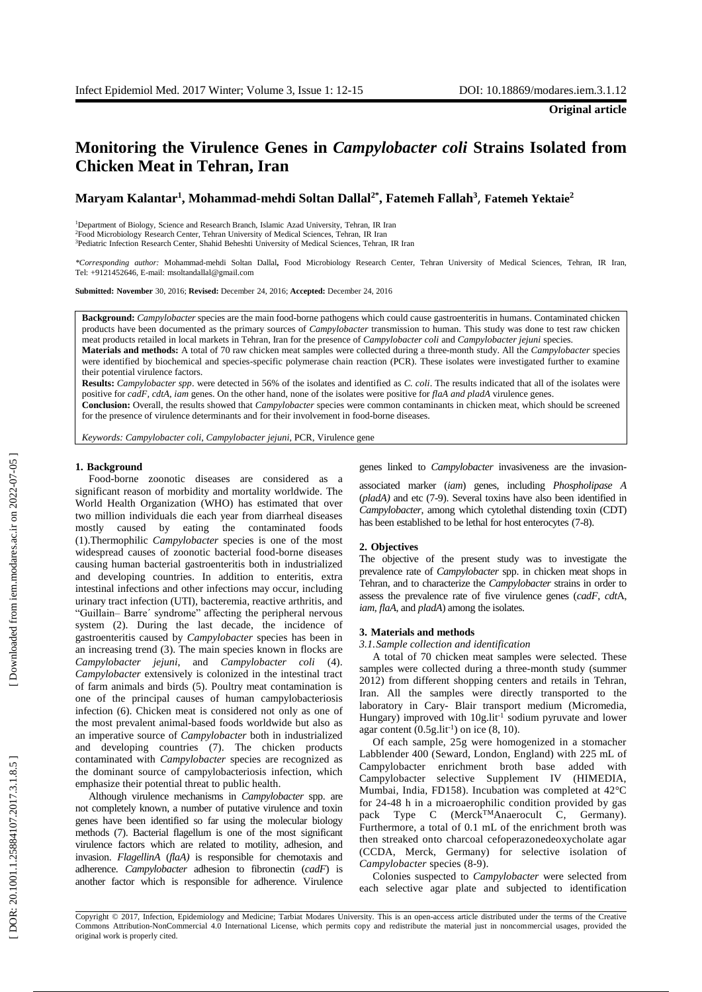# **Monitoring the Virulence Genes in** *Campylobacter coli* **Strains Isolated from Chicken Meat in Tehran, Iran**

## **Maryam Kalantar 1 , Mohammad -mehdi Soltan Dallal2\*, Fatemeh Fallah 3** , **Fatemeh Yektaie 2**

<sup>1</sup>Department of Biology, Science and Research Branch, Islamic Azad University, Tehran, IR Iran <sup>2</sup>Food Microbiology Research Center, Tehran University of Medical Sciences, Tehran, IR Iran <sup>3</sup>Pediatric Infection Research Center, Shahid Beheshti University of Medical Sciences, Tehran, IR Iran

*\*Corresponding author:* Mohammad-mehdi Soltan Dallal**,** Food Microbiology Research Center, Tehran University of Medical Sciences, Tehran, IR Iran, Tel: +9121452646, E -mail: msoltandallal@gmail.com

**Submitted: November** 30, 2016; **Revised:** December 24, 2016; **Accepted:** December 24, 2016

**Background:** *Campylobacter* species are the main food -borne pathogens which could cause gastroenteritis in humans. Contaminated chicken products have been documented as the primary sources of *Campylobacter* transmission to human. This study was done to test raw chicken meat products retailed in local markets in Tehran, Iran for the presence of *Campylobacter coli* and *Campylobacter jejuni* species . **Materials and methods:** A total of 70 raw chicken meat samples were collected during a three -month study . All the *Campylobacter* species were identified by biochemical and species -specific polymerase chain reaction (PCR). These isolates were investigated further to examine their potential virulence factors.

**Results:** *Campylobacter spp*. were detected in 56% of the isolates and identified as *C. coli*. The results indicated that all of the isolates were positive for *cadF, cdtA, iam* genes. On the other hand, none of the isolates were positive for *flaA and pladA* virulence genes.

**Conclusion:** Overall, the results showed that *Campylobacter* species were common contaminants in chicken meat , which should be screened for the presence of virulence determinants and for their involvement in food -borne diseases.

*Keywords: Campylobacter coli* , *Campylobacter jejuni*, PCR, Virulence gene

#### **1. Background**

Food -borne zoonotic diseases are considered as a significant reason of morbidity and mortality worldwide . The World Health Organization (WHO) has estimated that over two million individuals die each year from diarrheal diseases mostly caused by eating the contaminated foods (1).Thermophilic *Campylobacter* species is one of the most widespread cause s of zoonotic bacterial food -borne diseases causing human bacterial gastroenteritis both in industrialized and developing countries. In addition to enteritis, extra intestinal infections and other infections may occur, including urinary tract infection (UTI), bacteremia, reactive arthritis , and "Guillain – Barre´ syndrome" affecting the peripheral nervous system (2). During the last decade, the incidence of gastroenteritis caused by *Campylobacter* species has been in an increasing trend (3). The main species known in flocks are *Campylobacter jejuni*, and *Campylobacter coli* (4). *Campylobacter* extensively is colonized in the intestinal tract of farm animals and birds (5) . Poultry meat contamination is one of the principal causes of human campylobacteriosis infection (6). Chicken meat is considered not only as one of the most prevalent animal -based foods worldwide but also as an imperative source of *Campylobacter* both in industrialized and developing countries (7). The chicken products contaminated with *Campylobacter* species are recognized as the dominant source of campylobacteriosis infection, which emphasize their potential threat to public health .

Although virulence mechanisms in *Campylobacter* spp. are not completely known, a number of putative virulence and toxin genes have been identified so far using the molecular biology methods (7). Bacterial flagellum is one of the most significant virulence factors which are related to motility, adhesion , and invasion . *FlagellinA* (*flaA)* is responsible for chemotaxis and adherence . *Campylobacter* adhesion to fibronectin (*cadF*) is another factor which is responsible for adherence . Virulence genes linked to *Campylobacter* invasiveness are the invasion -

associated marker (*iam*) gene s, including *Phospholipase A* (pladA) and etc (7-9). Several toxins have also been identified in *Campylobacter*, among which cytolethal distending toxin (CDT) has been established to be lethal for host enterocytes (7-8).

#### **2. Objectives**

The objective of the present study was to investigate the prevalence rate of *Campylobacter* spp. in chicken meat shops in Tehran, and to characterize the *Campylobacter* strains in order to assess the prevalence rate of five virulence genes (*cadF*, *cdt*A, *iam*, *flaA*, and *pladA*) among the isolates.

#### **3. Materials and methods**

*3.1.Sample collection and identification*

A total of 70 chicken meat samples were selected. These samples were collected during a three -month study (summer 2012) from different shopping centers and retails in Tehran, Iran . All the samples were directly transported to the laboratory in Cary - Blair transport medium (Micromedia , Hungary) improved with 10g.lit<sup>-1</sup> sodium pyruvate and lower agar content  $(0.5g.lit^{-1})$  on ice  $(8, 10)$ .

Of each sample, 25g were homogenized in a stomacher Labblender 400 (Seward, London, England) with 225 m L of Campylobacter enrichment broth base added with Campylobacter selective Supplement IV (HIMEDIA, Mumbai, India, FD158). Incubation was completed at 42°C for 24 -48 h in a microaerophilic condition provided by gas pack Type C (Merck<sup>TM</sup>Anaerocult C, Germany). Furthermore, a total of 0.1 m L of the enrichment broth was then streaked onto charcoal cefoperazonedeoxycholate agar (CCDA, Merck, Germany) for selective isolation of *Campylobacter* species (8 -9) .

Colonies suspected to *Campylobacter* were selected from each selective agar plate and subjected to identification

Copyright © 2017, Infection, Epidemiology and Medicine; Tarbiat Modares University. This is an open -access article distributed under the terms of the Creative Commons Attribution -NonCommercial 4.0 International License, which permits copy and redistribute the material just in noncommercial usages, provided the original work is properly cited .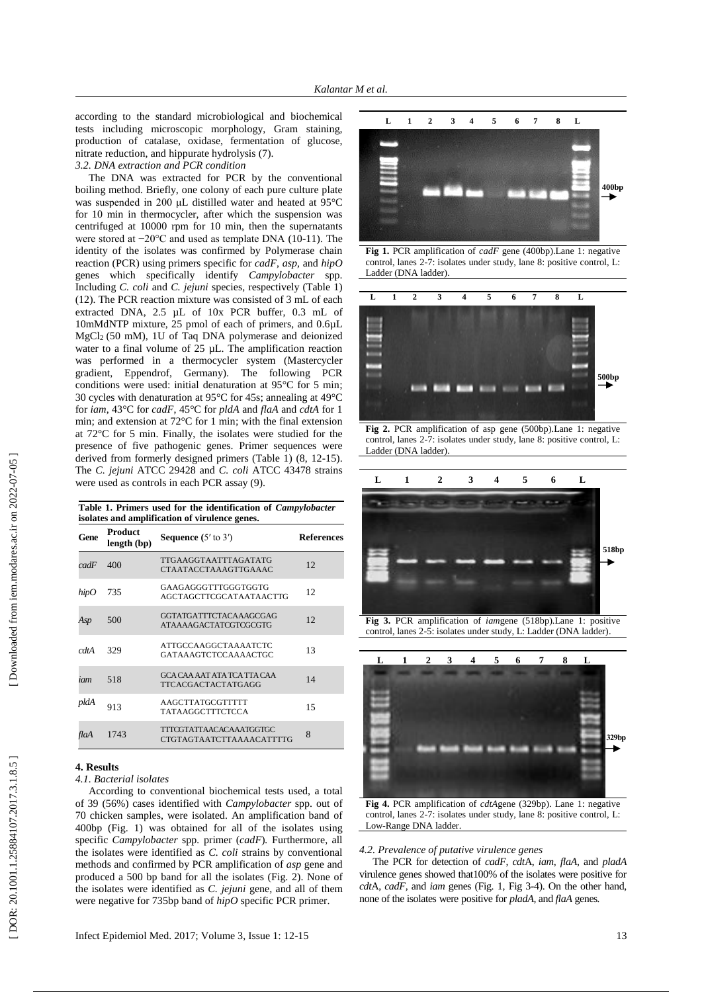according to the standard microbiological and biochemical tests including microscopic morphology, Gram staining, production of catalase, oxidase, fermentation of glucose, nitrate reduction, and hippurate hydrolysis (7).

*3.2. DNA extraction and PCR condition*

The DNA was extracted for PCR by the conventional boiling method. Briefly, one colony of each pure culture plate was suspended in 200 μL distilled water and heated at 95°C for 10 min in thermocyc ler , after which the suspension was centrifuged at 10000 rpm for 10 min, then the supernatants were stored at −20°C and used as template DNA (10-11). The identity of the isolates was confirmed by Polymerase chain reaction (PCR) using primers specific for *cadF*, *asp*, and *hipO* genes which specifically identify *Campylobacter* spp. Including *C. coli* and *C. jejuni* species, respectively (Table 1) (12). The PCR reaction mixture was consisted of 3 m L of each extracted DNA, 2.5 µ L of 10x PCR buffer, 0.3 m L of 10mMdNTP mixture, 25 p mol of each of primers, and 0.6µ L Mg C l <sup>2</sup> (50 mM), 1U of Taq DNA polymerase and deionized water to a final volume of 25 µL. The amplification reaction was performed in a thermocycler system (Mastercycler gradient, Eppendrof, Germany). The following PCR conditions were used: initial denaturation at 95°C for 5 min ; 30 cycles with denaturation at 95°C for 45s ; annealing at 49°C for *iam*, 43°C for *cadF*, 45°C for *pldA* and *flaA* and *cdtA* for 1 min ; and extension at 72°C for 1 min ; with the final extension at 72°C for 5 min. Finally, the isolates were studied for the presence of five pathogenic genes. Primer sequences were derived from formerly designed primers (Table 1) (8, 12-15). The *C . jejuni* ATCC 29428 and *C . coli* ATCC 43478 strains were used as controls in each PCR assay (9).

| isolates and amplification of virulence genes. |                        |                                                            |                   |
|------------------------------------------------|------------------------|------------------------------------------------------------|-------------------|
| Gene                                           | Product<br>length (bp) | <b>Sequence</b> $(5'$ to $3')$                             | <b>References</b> |
| cadF                                           | 400                    | TTGAAGGTAATTTAGATATG<br><b>CTAATACCTAAAGTTGAAAC</b>        | 12                |
| hipO                                           | 735                    | GAAGAGGGTTTGGGTGGTG<br><b>AGCTAGCTTCGCATAATAACTTG</b>      | 12                |
| Asp                                            | 500                    | GGTATGATTTCTACAAAGCGAG<br>ATAAAAGACTATCGTCGCGTG            | 12                |
| cdtA                                           | 329                    | <b>ATTGCCAAGGCTAAAATCTC</b><br>GATAAAGTCTCCAAAACTGC        | 13                |
| iam                                            | 518                    | GCA CAA AAT ATA TCA TTA CAA<br><b>TTCACGACTACTATGAGG</b>   | 14                |
| pldA                                           | 913                    | AAGCTTATGCGTTTTT<br>TATAAGGCTTTCTCCA                       | 15                |
| flaA                                           | 1743                   | TITCGTATTAACACAAATGGTGC<br><b>CTGTAGTAATCTTAAAACATTTTG</b> | 8                 |

**Table 1 . Primers used for the identification of** *Campylobacter*

### **4. Result s**

#### *4.1. Bacterial isolates*

According to conventional biochemical tests used, a total of 39 (56%) cases identified with *Campylobacter* spp. out of 70 chicken samples , were isolated. An amplification band of 400bp (Fig. 1) was obtained for all of the isolates using specific *Campylobacter* spp*.*  primer ( *cadF*)*.* Furthermore, all the isolates were identified as *C. coli* strains by conventional methods and confirmed by PCR amplification of *asp* gene and produced a 500 bp band for all the isolates (Fig. 2 ). None of the isolates were identified as *C. jejuni* gene*,* and all of them were negative for 735bp band of *hipO* specific PCR primer .



**Fig 1.** PCR amplification of *cadF* gene (400bp).Lane 1: negative control, lanes 2 -7: isolates under study, lane 8: positive control, L: Ladder (DNA ladder) .



**Fig 2.** PCR amplification of asp gene (500bp).Lane 1: negative control, lanes 2 -7: isolates under study, lane 8: positive control, L: Ladder (DNA ladder) .



**Fig 3.** PCR amplification of *iam*gene (518bp).Lane 1: positive control, lanes 2 -5: isolates under study, L: Ladder (DNA ladder) .



**Fig 4.** PCR amplification of *cdtA*gene (329bp). Lane 1: negative control, lanes 2 -7: isolates under study, lane 8: positive control, L: Low -Range DNA ladder .

#### *4.2. Prevalence of putative virulence genes*

The PCR for detection of *cadF*, *cdt*A, *iam*, *flaA*, and *pladA*  virulence genes showed that100% of the isolates were positive for *cdt*A, *cadF,* and *iam* genes (Fig. 1, Fig 3 -4). On the other hand, none of the isolates were positive for *pladA,* and *flaA* genes *.*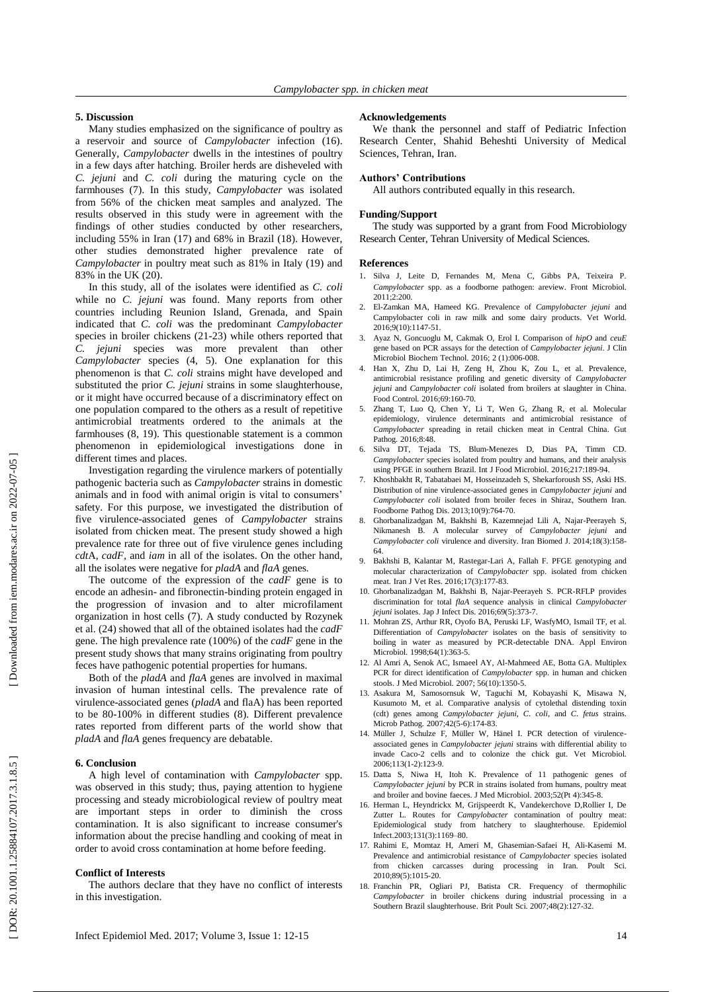#### **5. Discussion**

Many studies emphasize d on the significance of poultry as a reservoir and source of *Campylobacter* infection (16 ). Generally, *Campylobacter* dwell s in the intestines of poultry in a few days after hatching. Broiler herds are disheveled with *C. jejuni* and *C. coli* during the maturing cycle on the farmhouses (7). In this study, *Campylobacter* was isolated from 56% of the chicken meat samples and analyzed. The results observed in this study were in agreement with the finding s of other studies conducted by other researchers, including 55% in Iran (17) and 68% in Brazil (18). However, other studies demonstrated higher prevalence rate of *Campylobacter* in poultry meat such as 81% in Italy (19) and 83% in the UK (20).

In this study , all of the isolates were identified as *C. coli* while no *C. jejuni* was found. Many reports from other countries including Reunion Island, Grenada , and Spain indicated that *C. coli* was the predominant *Campylobacter* species in broiler chickens (21 -23 ) while others reported that *C. jejuni* species was more prevalent than other *Campylobacter* species (4, 5). One explanation for this phenomenon is that *C. coli* strains might have developed and substituted the prior *C. jejuni* strains in some slaughterhouse , or it might have occurred because of a discriminatory effect on one population compared to the other s as a result of repetitive antimicrobial treatments ordered to the animals at the farmhouses (8, 19 ). This questionable statement is a common phenomenon in epidemiological investigations done in different times and places.

Investigation regarding the virulence markers of potentially pathogenic bacteria such as *Campylobacter* strains in domestic animals and in food with animal origin is vital to consumers' safety. For this purpose, we investigate d the distribution of five virulence -associated genes of *Campylobacter* strains isolated from chicken meat. The present study showed a high prevalence rate for three out of five virulence genes including *cdt*A, *cadF,* and *iam* in all of the isolates. On the other hand, all the isolates were negative for *pladA* and *flaA* genes*.* 

The outcome of the expression of the *cadF* gene is to encod e an adhesin - and fibronectin -binding protein engaged in the progression of invasion and to alter microfilament organization in host cells (7). A study conducted by Rozynek et al . (24 ) showed that all of the obtained isolates had the *cadF* gene. The high prevalence rate (100%) of the *cadF* gene in the present study shows that many strains originating from poultry feces have pathogenic potential properties for humans.

Both of the *pladA* and *flaA* genes are involved in maximal invasion of human intestinal cells. The prevalence rate of virulence -associated genes (*pladA* and flaA) has been reported to be 80 -100% in different studies (8). Different prevalence rates reported from different parts of the world show that *pladA* and *flaA* genes frequency are debatable .

#### **6. Conclusion**

A high level of contamination with *Campylobacter* spp. was observed in this study; thus, paying attention to hygiene processing and steady microbiological review of poultry meat are important steps in order to diminish the cross contamination. It is also significant to increase consumer's information about the precise handling and cooking of meat in order to avoid cross contamination at home before feeding.

#### **Conflict of Interests**

The authors declare that they have no conflict of interests in this investigation.

#### **Acknowledgements**

We thank the personnel and staff of Pediatric Infection Research Center, Shahid Beheshti University of Medical Sciences, Tehran, Iran.

#### **Authors' Contributions**

All authors contributed equally in this research.

#### **Funding/Support**

The study was supported by a grant from Food Microbiology Research Center, Tehran University of Medical Sciences.

#### **Reference s**

- 1 . Silva J, Leite D, Fernandes M, Mena C, Gibbs PA, Teixeira P. *Campylobacter* spp. as a foodborne pathogen: areview. Front Microbiol. 2011;2:200.
- 2. El -Zamkan MA, Hameed KG. Prevalence of *Campylobacter jejuni* and Campylobacter coli in raw milk and some dairy products. Vet World. 2016;9(10):1147 -51.
- 3. Ayaz N, Goncuoglu M, Cakmak O, Erol I. Comparison of *hipO* and *ceuE* gene based on PCR assays for the detection of *Campylobacter jejuni*. J Clin Microbiol Biochem Technol. 2016; 2 (1):006-008.
- 4. Han X, Zhu D, Lai H, Zeng H, Zhou K, Zou L, et al. Prevalence, antimicrobial resistance profiling and genetic diversity of *Campylobacter jejuni* and *Campylobacter coli* isolated from broilers at slaughter in China. Food Control. 2016;69:160 -70.
- 5. Zhang T, Luo Q, Chen Y, Li T, Wen G, Zhang R, et al. Molecular epidemiology, virulence determinants and antimicrobial resistance of *Campylobacter* spreading in retail chicken meat in Central China. Gut Pathog. 2016;8:48.
- 6. Silva DT, Tejada TS, Blum -Menezes D, Dias PA, Timm CD. *Campylobacter* species isolated from poultry and humans, and their analysis using PFGE in southern Brazil. Int J Food Microbiol. 2016;217:189 -94.
- 7. Khoshbakht R, Tabatabaei M, Hosseinzadeh S, Shekarforoush SS, Aski HS. Distribution of nine virulence -associated genes in *Campylobacter jejuni* and *Campylobacter coli* isolated from broiler feces in Shiraz, Southern Iran. Foodborne Pathog Dis. 2013;10(9):764 -70.
- 8. Ghorbanalizadgan M, Bakhshi B, Kazemnejad Lili A, Najar -Peerayeh S, Nikmanesh B. A molecular survey of *Campylobacter jejuni* and Campylobacter coli virulence and diversity. Iran Biomed J. 2014;18(3):158-64.
- 9. Bakhshi B, Kalantar M, Rastegar -Lari A, Fallah F. PFGE genotyping and molecular characterization of *Campylobacter* spp. isolated from chicken meat. Iran J Vet Res. 2016;17(3):177 -83.
- 10. Ghorbanalizadgan M, Bakhshi B, Najar -Peerayeh S. PCR -RFLP provides discrimination for total *flaA* sequence analysis in clinical *Campylobacter jejuni* isolates. Jap J Infect Dis. 2016;69(5):373 -7.
- 11. Mohran ZS, Arthur RR, Oyofo BA, Peruski LF, WasfyMO, Ismail TF, et al. Differentiation of *Campylobacter* isolates on the basis of sensitivity to boiling in water as measured by PCR -detectable DNA. Appl Environ Microbiol. 1998;64(1):363-5.
- 12. Al Amri A, Senok AC, Ismaeel AY, Al -Mahmeed AE, Botta GA. Multiplex PCR for direct identification of *Campylobacter* spp. in human and chicken stools. J Med Microbiol. 2007; 56(10):1350 -5.
- 13. Asakura M, Samosornsuk W, Taguchi M, Kobayashi K, Misawa N, Kusumoto M, et al. Comparative analysis of cytolethal distending toxin (cdt) genes among *Campylobacter jejuni, C. coli*, and *C. fetus* strains. Microb Pathog. 2007;42(5-6):174-83.
- 14. Müller J, Schulze F, Müller W, Hänel I. PCR detection of virulence associated genes in *Campylobacter jejuni* strains with differential ability to invade Caco -2 cells and to colonize the chick gut. Vet Microbiol. 2006;113(1 -2):123 -9.
- 15. Datta S, Niwa H, Itoh K . Prevalence of 11 pathogenic genes of *Campylobacter jejuni* by PCR in strains isolated from humans, poultry meat and broiler and bovine faeces. J Med Microbiol. 2003;52(Pt 4):345 -8.
- 1 6 . Herman L, Heyndrickx M, Grijspeerdt K, Vandekerchove D,Rollier I, De Zutter L. Routes for *Campylobacter* contamination of poultry meat: Epidemiological study from hatchery to slaughterhouse. Epidemiol Infect .2003;131(3):1169 –80.
- 17 . Rahimi E, Momtaz H, Ameri M, Ghasemian -Safaei H, Ali -Kasemi M. Prevalence and antimicrobial resistance of *Campylobacter* species isolated from chicken carcasses during processing in Iran. Poult Sci. 2010;89(5):1015 -20.
- 18 . Franchin PR, Ogliari PJ, Batista CR. Frequency of thermophilic *Campylobacter* in broiler chickens during industrial processing in a Southern Brazil slaughterhouse. Brit Poult Sci. 2007;48(2):127 -32.